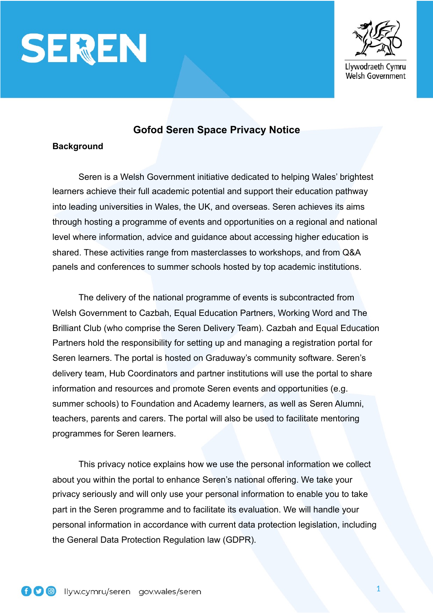



**Gofod Seren Space Privacy Notice**

# **Background**

 Seren is a Welsh Government initiative dedicated to helping Wales' brightest learners achieve their full academic potential and support their education pathway into leading universities in Wales, the UK, and overseas. Seren achieves its aims through hosting a programme of events and opportunities on a regional and national level where information, advice and guidance about accessing higher education is shared. These activities range from masterclasses to workshops, and from Q&A panels and conferences to summer schools hosted by top academic institutions.

 The delivery of the national programme of events is subcontracted from Welsh Government to Cazbah, Equal Education Partners, Working Word and The Brilliant Club (who comprise the Seren Delivery Team). Cazbah and Equal Education Partners hold the responsibility for setting up and managing a registration portal for Seren learners. The portal is hosted on Graduway's community software. Seren's delivery team, Hub Coordinators and partner institutions will use the portal to share information and resources and promote Seren events and opportunities (e.g. summer schools) to Foundation and Academy learners, as well as Seren Alumni, teachers, parents and carers. The portal will also be used to facilitate mentoring programmes for Seren learners.

 This privacy notice explains how we use the personal information we collect about you within the portal to enhance Seren's national offering. We take your privacy seriously and will only use your personal information to enable you to take part in the Seren programme and to facilitate its evaluation. We will handle your personal information in accordance with current data protection legislation, including the General Data Protection Regulation law (GDPR).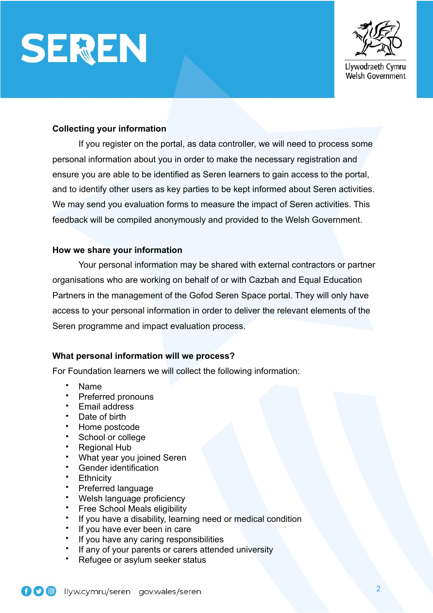



## **Collecting your information**

 If you register on the portal, as data controller, we will need to process some personal information about you in order to make the necessary registration and ensure you are able to be identified as Seren learners to gain access to the portal, and to identify other users as key parties to be kept informed about Seren activities. We may send you evaluation forms to measure the impact of Seren activities. This feedback will be compiled anonymously and provided to the Welsh Government.

#### **How we share your information**

 Your personal information may be shared with external contractors or partner organisations who are working on behalf of or with Cazbah and Equal Education Partners in the management of the Gofod Seren Space portal. They will only have access to your personal information in order to deliver the relevant elements of the Seren programme and impact evaluation process.

#### **What personal information will we process?**

For Foundation learners we will collect the following information:

- Name
- Preferred pronouns
- Email address
- Date of birth
- Home postcode<br>• School or college
- School or college
- Regional Hub
- What year you joined Seren
- Gender identification
- Ethnicity
- Preferred language
- Welsh language proficiency
- Free School Meals eligibility
- If you have a disability, learning need or medical condition<br>• If you have ever heen in care
- If you have ever been in care
- If you have any caring responsibilities
- If any of your parents or carers attended university
- Refugee or asylum seeker status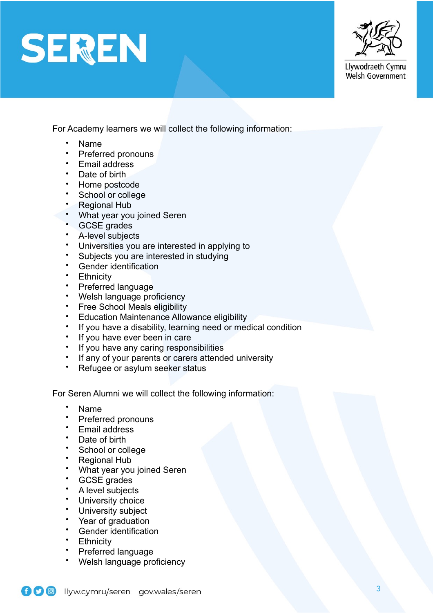



Llywodraeth Cymru Welsh Government

For Academy learners we will collect the following information:

- Name
- Preferred pronouns
- Email address
- Date of birth
- Home postcode
- School or college
- Regional Hub
- What year you joined Seren
- GCSE grades
- A-level subjects
- Universities you are interested in applying to
- Subjects you are interested in studying
- Gender identification
- Ethnicity
- Preferred language
- Welsh language proficiency
- Free School Meals eligibility
- Education Maintenance Allowance eligibility
- If you have a disability, learning need or medical condition
- If you have ever been in care<br>• If you have any caring respon
- If you have any caring responsibilities
- If any of your parents or carers attended university
- Refugee or asylum seeker status

For Seren Alumni we will collect the following information:

- Name
- Preferred pronouns
- Email address
- Date of birth
- School or college
- Regional Hub
- What year you joined Seren
- GCSE grades
- A level subjects
- University choice
- University subject
- Year of graduation
- Gender identification
- **Ethnicity**
- Preferred language
- Welsh language proficiency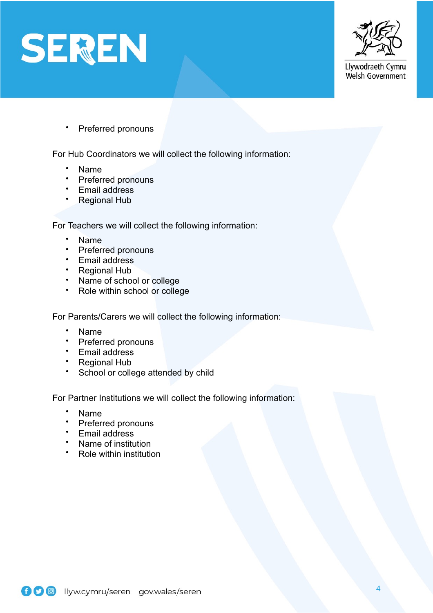



Llywodraeth Cymru Welsh Government

• Preferred pronouns

For Hub Coordinators we will collect the following information:

- Name
- Preferred pronouns
- Email address
- Regional Hub

For Teachers we will collect the following information:

- Name
- Preferred pronouns
- Email address
- Regional Hub
- Name of school or college<br>• Role within school or colled
- Role within school or college

For Parents/Carers we will collect the following information:

- Name
- Preferred pronouns
- Email address
- Regional Hub
- School or college attended by child

For Partner Institutions we will collect the following information:

- Name
- Preferred pronouns
- Email address
- Name of institution
- Role within institution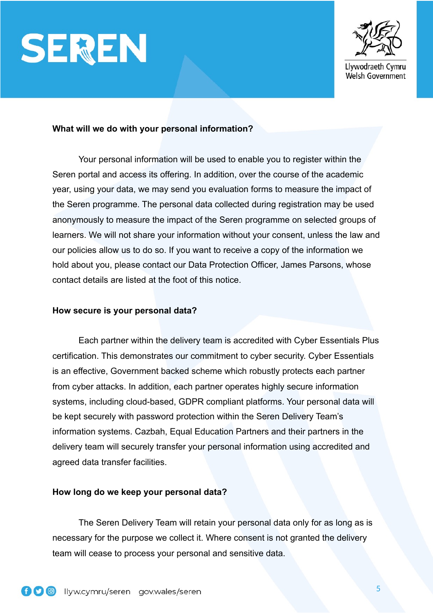



#### **What will we do with your personal information?**

Your personal information will be used to enable you to register within the Seren portal and access its offering. In addition, over the course of the academic year, using your data, we may send you evaluation forms to measure the impact of the Seren programme. The personal data collected during registration may be used anonymously to measure the impact of the Seren programme on selected groups of learners. We will not share your information without your consent, unless the law and our policies allow us to do so. If you want to receive a copy of the information we hold about you, please contact our Data Protection Officer, James Parsons, whose contact details are listed at the foot of this notice.

#### **How secure is your personal data?**

Each partner within the delivery team is accredited with Cyber Essentials Plus certification. This demonstrates our commitment to cyber security. Cyber Essentials is an effective, Government backed scheme which robustly protects each partner from cyber attacks. In addition, each partner operates highly secure information systems, including cloud-based, GDPR compliant platforms. Your personal data will be kept securely with password protection within the Seren Delivery Team's information systems. Cazbah, Equal Education Partners and their partners in the delivery team will securely transfer your personal information using accredited and agreed data transfer facilities.

#### **How long do we keep your personal data?**

 The Seren Delivery Team will retain your personal data only for as long as is necessary for the purpose we collect it. Where consent is not granted the delivery team will cease to process your personal and sensitive data.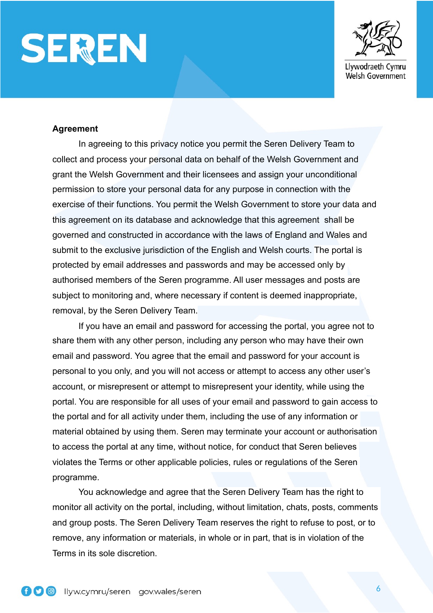



#### **Agreement**

 In agreeing to this privacy notice you permit the Seren Delivery Team to collect and process your personal data on behalf of the Welsh Government and grant the Welsh Government and their licensees and assign your unconditional permission to store your personal data for any purpose in connection with the exercise of their functions. You permit the Welsh Government to store your data and this agreement on its database and acknowledge that this agreement shall be governed and constructed in accordance with the laws of England and Wales and submit to the exclusive jurisdiction of the English and Welsh courts. The portal is protected by email addresses and passwords and may be accessed only by authorised members of the Seren programme. All user messages and posts are subject to monitoring and, where necessary if content is deemed inappropriate, removal, by the Seren Delivery Team.

If you have an email and password for accessing the portal, you agree not to share them with any other person, including any person who may have their own email and password. You agree that the email and password for your account is personal to you only, and you will not access or attempt to access any other user's account, or misrepresent or attempt to misrepresent your identity, while using the portal. You are responsible for all uses of your email and password to gain access to the portal and for all activity under them, including the use of any information or material obtained by using them. Seren may terminate your account or authorisation to access the portal at any time, without notice, for conduct that Seren believes violates the Terms or other applicable policies, rules or regulations of the Seren programme.

You acknowledge and agree that the Seren Delivery Team has the right to monitor all activity on the portal, including, without limitation, chats, posts, comments and group posts. The Seren Delivery Team reserves the right to refuse to post, or to remove, any information or materials, in whole or in part, that is in violation of the Terms in its sole discretion.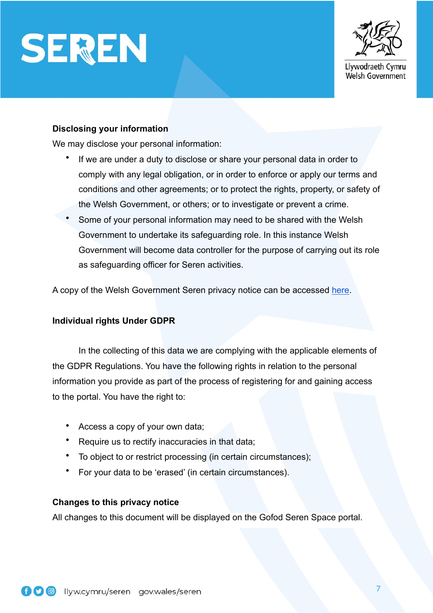



Welsh Government

## **Disclosing your information**

We may disclose your personal information:

- If we are under a duty to disclose or share your personal data in order to comply with any legal obligation, or in order to enforce or apply our terms and conditions and other agreements; or to protect the rights, property, or safety of the Welsh Government, or others; or to investigate or prevent a crime.
- Some of your personal information may need to be shared with the Welsh Government to undertake its safeguarding role. In this instance Welsh Government will become data controller for the purpose of carrying out its role as safeguarding officer for Seren activities.

A copy of the Welsh Government Seren privacy notice can be accessed [here](https://files.smartsurvey.io/2/0/OLG5RI0I/2020_07_10_Privacy_Notice_(Eng)____Seren_national_online_events2.docx).

## **Individual rights Under GDPR**

 In the collecting of this data we are complying with the applicable elements of the GDPR Regulations. You have the following rights in relation to the personal information you provide as part of the process of registering for and gaining access to the portal. You have the right to:

- Access a copy of your own data;
- Require us to rectify inaccuracies in that data;
- To object to or restrict processing (in certain circumstances);
- For your data to be 'erased' (in certain circumstances).

## **Changes to this privacy notice**

All changes to this document will be displayed on the Gofod Seren Space portal.